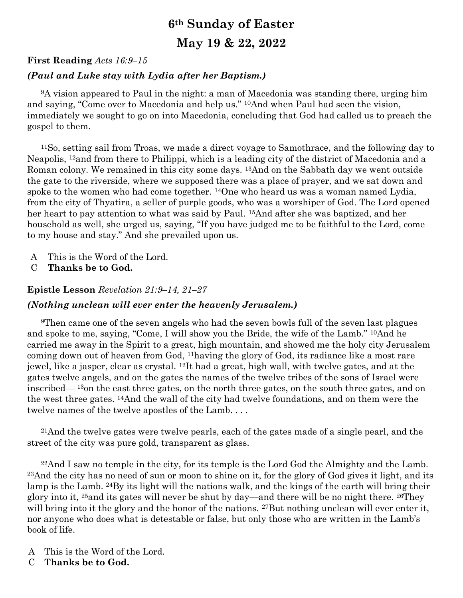# **6th Sunday of Easter**

## **May 19 & 22, 2022**

### **First Reading** *Acts 16:9–15*

### *(Paul and Luke stay with Lydia after her Baptism.)*

<sup>9</sup>A vision appeared to Paul in the night: a man of Macedonia was standing there, urging him and saying, "Come over to Macedonia and help us." 10And when Paul had seen the vision, immediately we sought to go on into Macedonia, concluding that God had called us to preach the gospel to them.

<sup>11</sup>So, setting sail from Troas, we made a direct voyage to Samothrace, and the following day to Neapolis, 12and from there to Philippi, which is a leading city of the district of Macedonia and a Roman colony. We remained in this city some days. 13And on the Sabbath day we went outside the gate to the riverside, where we supposed there was a place of prayer, and we sat down and spoke to the women who had come together. <sup>14</sup>One who heard us was a woman named Lydia, from the city of Thyatira, a seller of purple goods, who was a worshiper of God. The Lord opened her heart to pay attention to what was said by Paul. 15And after she was baptized, and her household as well, she urged us, saying, "If you have judged me to be faithful to the Lord, come to my house and stay." And she prevailed upon us.

- A This is the Word of the Lord.
- C **Thanks be to God.**

#### **Epistle Lesson** *Revelation 21:9–14, 21–27*

#### *(Nothing unclean will ever enter the heavenly Jerusalem.)*

<sup>9</sup>Then came one of the seven angels who had the seven bowls full of the seven last plagues and spoke to me, saying, "Come, I will show you the Bride, the wife of the Lamb." 10And he carried me away in the Spirit to a great, high mountain, and showed me the holy city Jerusalem coming down out of heaven from God, 11having the glory of God, its radiance like a most rare jewel, like a jasper, clear as crystal. 12It had a great, high wall, with twelve gates, and at the gates twelve angels, and on the gates the names of the twelve tribes of the sons of Israel were inscribed— <sup>13</sup>on the east three gates, on the north three gates, on the south three gates, and on the west three gates. 14And the wall of the city had twelve foundations, and on them were the twelve names of the twelve apostles of the Lamb. . . .

<sup>21</sup>And the twelve gates were twelve pearls, each of the gates made of a single pearl, and the street of the city was pure gold, transparent as glass.

<sup>22</sup>And I saw no temple in the city, for its temple is the Lord God the Almighty and the Lamb. <sup>23</sup>And the city has no need of sun or moon to shine on it, for the glory of God gives it light, and its lamp is the Lamb. 24By its light will the nations walk, and the kings of the earth will bring their glory into it, 25and its gates will never be shut by day—and there will be no night there. 26They will bring into it the glory and the honor of the nations. <sup>27</sup>But nothing unclean will ever enter it, nor anyone who does what is detestable or false, but only those who are written in the Lamb's book of life.

- A This is the Word of the Lord.
- C **Thanks be to God.**